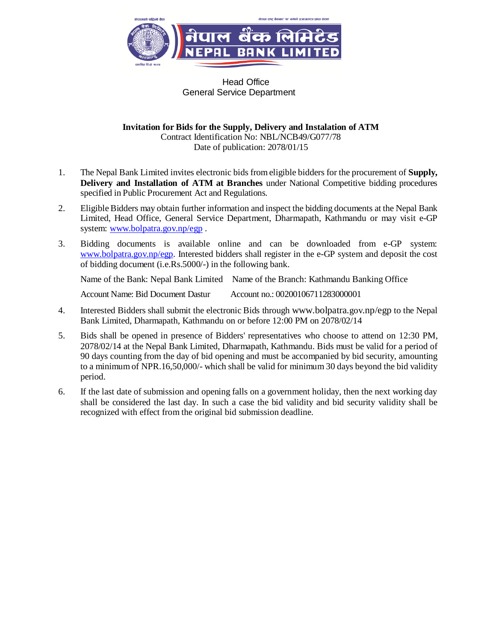

Head Office General Service Department

**Invitation for Bids for the Supply, Delivery and Instalation of ATM** Contract Identification No: NBL/NCB49/G077/78 Date of publication: 2078/01/15

- 1. The Nepal Bank Limited invites electronic bids from eligible bidders for the procurement of **Supply, Delivery and Installation of ATM at Branches** under National Competitive bidding procedures specified in Public Procurement Act and Regulations.
- 2. Eligible Bidders may obtain further information and inspect the bidding documents at the Nepal Bank Limited, Head Office, General Service Department, Dharmapath, Kathmandu or may visit e-GP system: [www.bolpatra.gov.np/egp](http://www.bolpatra.gov.np/egp) .
- 3. Bidding documents is available online and can be downloaded from e-GP system: [www.bolpatra.gov.np/egp.](http://www.bolpatra.gov.np/egp) Interested bidders shall register in the e-GP system and deposit the cost of bidding document (i.e.Rs.5000/-) in the following bank.

Name of the Bank: Nepal Bank Limited Name of the Branch: Kathmandu Banking Office

Account Name: Bid Document Dastur Account no.: 00200106711283000001

- 4. Interested Bidders shall submit the electronic Bids through [www.bolpatra.](http://www.bolpatra.gov.np/egp)gov.np/egp to the Nepal Bank Limited, Dharmapath, Kathmandu on or before 12:00 PM on 2078/02/14
- 5. Bids shall be opened in presence of Bidders' representatives who choose to attend on 12:30 PM, 2078/02/14 at the Nepal Bank Limited, Dharmapath, Kathmandu. Bids must be valid for a period of 90 days counting from the day of bid opening and must be accompanied by bid security, amounting to a minimum of NPR.16,50,000/- which shall be valid for minimum 30 days beyond the bid validity period.
- 6. If the last date of submission and opening falls on a government holiday, then the next working day shall be considered the last day. In such a case the bid validity and bid security validity shall be recognized with effect from the original bid submission deadline.